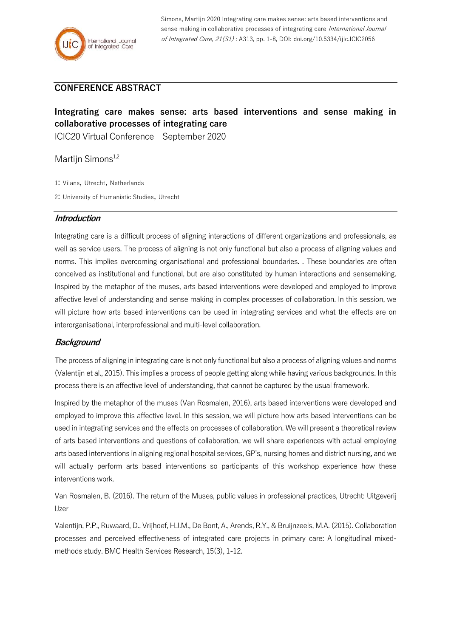Simons, Martijn 2020 Integrating care makes sense: arts based interventions and sense making in collaborative processes of integrating care International Journal of Integrated Care, 21(S1) : A313, pp. 1-8, DOI: doi.org/10.5334/ijic.ICIC2056

## **CONFERENCE ABSTRACT**

# **Integrating care makes sense: arts based interventions and sense making in collaborative processes of integrating care**

ICIC20 Virtual Conference – September 2020

Martijn Simons<sup>1,2</sup>

1: Vilans, Utrecht, Netherlands

2: University of Humanistic Studies, Utrecht

## **Introduction**

Integrating care is a difficult process of aligning interactions of different organizations and professionals, as well as service users. The process of aligning is not only functional but also a process of aligning values and norms. This implies overcoming organisational and professional boundaries. . These boundaries are often conceived as institutional and functional, but are also constituted by human interactions and sensemaking. Inspired by the metaphor of the muses, arts based interventions were developed and employed to improve affective level of understanding and sense making in complex processes of collaboration. In this session, we will picture how arts based interventions can be used in integrating services and what the effects are on interorganisational, interprofessional and multi-level collaboration.

## **Background**

The process of aligning in integrating care is not only functional but also a process of aligning values and norms (Valentijn et al., 2015). This implies a process of people getting along while having various backgrounds. In this process there is an affective level of understanding, that cannot be captured by the usual framework.

Inspired by the metaphor of the muses (Van Rosmalen, 2016), arts based interventions were developed and employed to improve this affective level. In this session, we will picture how arts based interventions can be used in integrating services and the effects on processes of collaboration. We will present a theoretical review of arts based interventions and questions of collaboration, we will share experiences with actual employing arts based interventions in aligning regional hospital services, GP's, nursing homes and district nursing, and we will actually perform arts based interventions so participants of this workshop experience how these interventions work.

Van Rosmalen, B. (2016). The return of the Muses, public values in professional practices, Utrecht: Uitgeverij IJzer

Valentijn, P.P., Ruwaard, D., Vrijhoef, H.J.M., De Bont, A., Arends, R.Y., & Bruijnzeels, M.A. (2015). Collaboration processes and perceived effectiveness of integrated care projects in primary care: A longitudinal mixedmethods study. BMC Health Services Research, 15(3), 1-12.